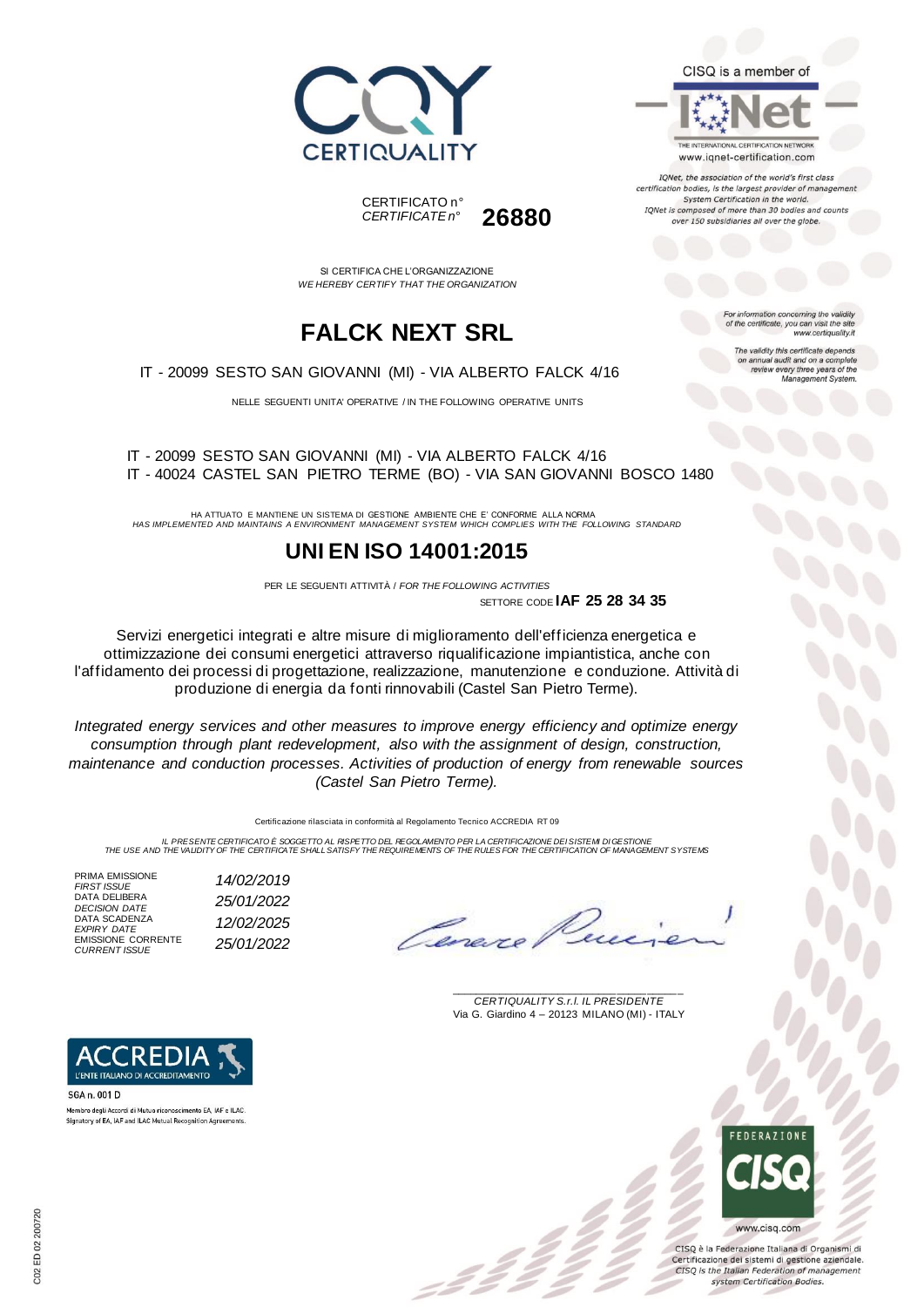





IQNet, the association of the world's first class certification bodies, is the largest provider of managen System Certification in the world. IQNet is composed of more than 30 bodies and counts over 150 subsidiaries all over the globe.

For information concerning the validity<br>of the certificate, you can visit the site

The validity this certificate depends on annual audit and on a complete<br>review every three years of the<br>Management System.

www.certiquality.it

SI CERTIFICA CHE L'ORGANIZZAZIONE

*CERTIFICATE n°* **26880**

CERTIFICATO n°

## **FALCK NEXT SRL**

*WE HEREBY CERTIFY THAT THE ORGANIZATION*

IT - 20099 SESTO SAN GIOVANNI (MI) - VIA ALBERTO FALCK 4/16

NELLE SEGUENTI UNITA' OPERATIVE / IN THE FOLLOWING OPERATIVE UNITS

IT - 20099 SESTO SAN GIOVANNI (MI) - VIA ALBERTO FALCK 4/16 IT - 40024 CASTEL SAN PIETRO TERME (BO) - VIA SAN GIOVANNI BOSCO 1480

HA ATTUATO E MANTIENE UN SISTEMA DI GESTIONE AMBIENTE CHE E' CONFORME ALLA NORMA *HAS IMPLEMENTED AND MAINTAINS A ENVIRONMENT MANAGEMENT SYSTEM WHICH COMPLIES WITH THE FOLLOWING STANDARD*

### **UNI EN ISO 14001:2015**

PER LE SEGUENTI ATTIVITÀ / *FOR THE FOLLOWING ACTIVITIES* SETTORE CODE **IAF 25 28 34 35**

Servizi energetici integrati e altre misure di miglioramento dell'efficienza energetica e ottimizzazione dei consumi energetici attraverso riqualificazione impiantistica, anche con l'affidamento dei processi di progettazione, realizzazione, manutenzione e conduzione. Attività di produzione di energia da fonti rinnovabili (Castel San Pietro Terme).

*Integrated energy services and other measures to improve energy efficiency and optimize energy consumption through plant redevelopment, also with the assignment of design, construction, maintenance and conduction processes. Activities of production of energy from renewable sources (Castel San Pietro Terme).*

Certificazione rilasciata in conformità al Regolamento Tecnico ACCREDIA RT 09

IL PRESENTE CERTIFICATO E SOGGETTO AL RISPETTO DEL REGOLAMENTO PER LA CERTIFICAZIONE DEI SISTEMI DI GESTIONE<br>THE USE AND THE VALIDITY OF THE CERTIFICATE SHALL SATISFY THE REQUIREMENTS OF THE RULES FOR THE CERTIFICATION OF

PRIMA EMISSIONE<br>FIRST ISSUE DATA DELIBERA DATA SCADENZA *EXPIRY DATE 12/02/2025* EMISSIONE CORRENTE *CURRENT ISSUE 25/01/2022*



SGA n. 001 D Membro degli Accordi di Mutuo riconoscimento EA, IAF e ILAC Signatory of EA, IAF and ILAC Mutual Recognition Agreem



\_\_\_\_\_\_\_\_\_\_\_\_\_\_\_\_\_\_\_\_\_\_\_\_\_\_\_\_\_\_\_\_\_\_\_\_\_\_\_ *CERTIQUALITY S.r.l. IL PRESIDENTE* Via G. Giardino 4 – 20123 MILANO (MI) - ITALY



CISO è la Federazione Italiana di Organismi di Certificazione dei sistemi di gestione aziendale. CISQ is the Italian Federation of management system Certification Bodies.